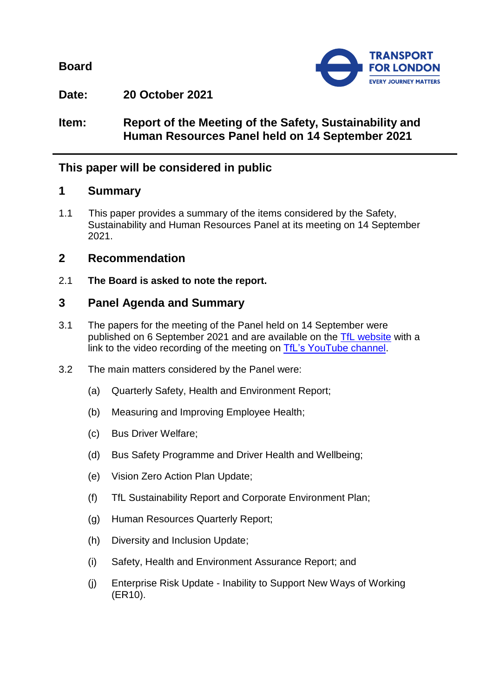**Board**



**Date: 20 October 2021**

**Item: Report of the Meeting of the Safety, Sustainability and Human Resources Panel held on 14 September 2021**

# **This paper will be considered in public**

# **1 Summary**

1.1 This paper provides a summary of the items considered by the Safety, Sustainability and Human Resources Panel at its meeting on 14 September 2021.

# **2 Recommendation**

2.1 **The Board is asked to note the report.**

# **3 Panel Agenda and Summary**

- 3.1 The papers for the meeting of the Panel held on 14 September were published on 6 September 2021 and are available on the [TfL website](https://board.tfl.gov.uk/uuCoverPage.aspx?bcr=1) with a link to the video recording of the meeting on [TfL's YouTube channel.](https://www.youtube.com/playlist?list=PLtnlusA0Zoggk4qvN68OcnD9k_7B8cY_d)
- 3.2 The main matters considered by the Panel were:
	- (a) Quarterly Safety, Health and Environment Report;
	- (b) Measuring and Improving Employee Health;
	- (c) Bus Driver Welfare;
	- (d) Bus Safety Programme and Driver Health and Wellbeing;
	- (e) Vision Zero Action Plan Update;
	- (f) TfL Sustainability Report and Corporate Environment Plan;
	- (g) Human Resources Quarterly Report;
	- (h) Diversity and Inclusion Update;
	- (i) Safety, Health and Environment Assurance Report; and
	- (j) Enterprise Risk Update Inability to Support New Ways of Working (ER10).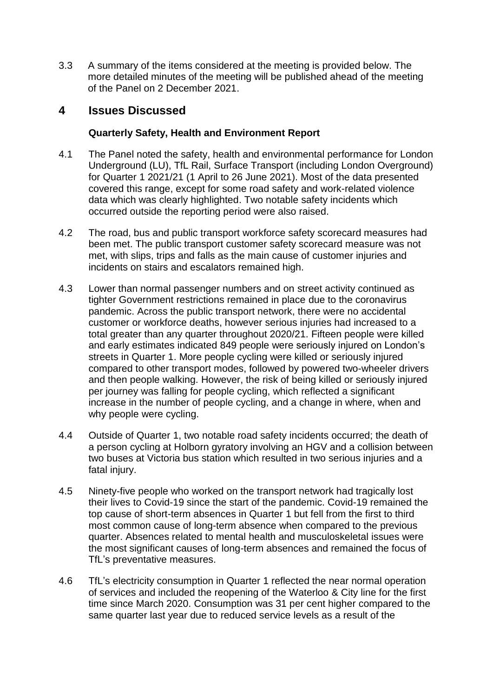3.3 A summary of the items considered at the meeting is provided below. The more detailed minutes of the meeting will be published ahead of the meeting of the Panel on 2 December 2021.

## **4 Issues Discussed**

## **Quarterly Safety, Health and Environment Report**

- 4.1 The Panel noted the safety, health and environmental performance for London Underground (LU), TfL Rail, Surface Transport (including London Overground) for Quarter 1 2021/21 (1 April to 26 June 2021). Most of the data presented covered this range, except for some road safety and work-related violence data which was clearly highlighted. Two notable safety incidents which occurred outside the reporting period were also raised.
- 4.2 The road, bus and public transport workforce safety scorecard measures had been met. The public transport customer safety scorecard measure was not met, with slips, trips and falls as the main cause of customer injuries and incidents on stairs and escalators remained high.
- 4.3 Lower than normal passenger numbers and on street activity continued as tighter Government restrictions remained in place due to the coronavirus pandemic. Across the public transport network, there were no accidental customer or workforce deaths, however serious injuries had increased to a total greater than any quarter throughout 2020/21. Fifteen people were killed and early estimates indicated 849 people were seriously injured on London's streets in Quarter 1. More people cycling were killed or seriously injured compared to other transport modes, followed by powered two-wheeler drivers and then people walking. However, the risk of being killed or seriously injured per journey was falling for people cycling, which reflected a significant increase in the number of people cycling, and a change in where, when and why people were cycling.
- 4.4 Outside of Quarter 1, two notable road safety incidents occurred; the death of a person cycling at Holborn gyratory involving an HGV and a collision between two buses at Victoria bus station which resulted in two serious injuries and a fatal injury.
- 4.5 Ninety-five people who worked on the transport network had tragically lost their lives to Covid-19 since the start of the pandemic. Covid-19 remained the top cause of short-term absences in Quarter 1 but fell from the first to third most common cause of long-term absence when compared to the previous quarter. Absences related to mental health and musculoskeletal issues were the most significant causes of long-term absences and remained the focus of TfL's preventative measures.
- 4.6 TfL's electricity consumption in Quarter 1 reflected the near normal operation of services and included the reopening of the Waterloo & City line for the first time since March 2020. Consumption was 31 per cent higher compared to the same quarter last year due to reduced service levels as a result of the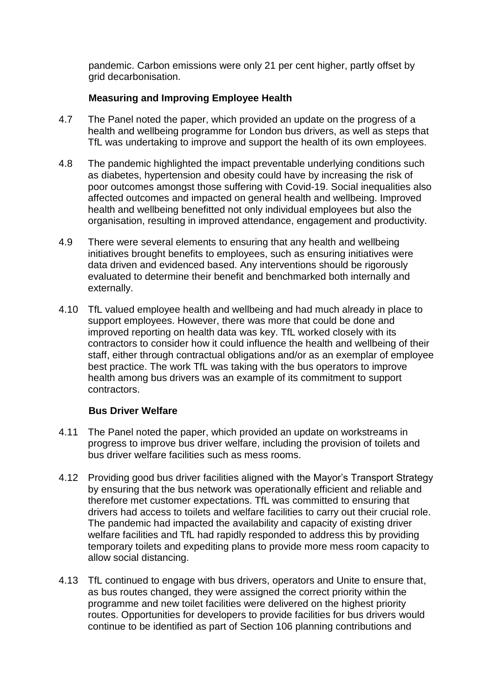pandemic. Carbon emissions were only 21 per cent higher, partly offset by grid decarbonisation.

## **Measuring and Improving Employee Health**

- 4.7 The Panel noted the paper, which provided an update on the progress of a health and wellbeing programme for London bus drivers, as well as steps that TfL was undertaking to improve and support the health of its own employees.
- 4.8 The pandemic highlighted the impact preventable underlying conditions such as diabetes, hypertension and obesity could have by increasing the risk of poor outcomes amongst those suffering with Covid-19. Social inequalities also affected outcomes and impacted on general health and wellbeing. Improved health and wellbeing benefitted not only individual employees but also the organisation, resulting in improved attendance, engagement and productivity.
- 4.9 There were several elements to ensuring that any health and wellbeing initiatives brought benefits to employees, such as ensuring initiatives were data driven and evidenced based. Any interventions should be rigorously evaluated to determine their benefit and benchmarked both internally and externally.
- 4.10 TfL valued employee health and wellbeing and had much already in place to support employees. However, there was more that could be done and improved reporting on health data was key. TfL worked closely with its contractors to consider how it could influence the health and wellbeing of their staff, either through contractual obligations and/or as an exemplar of employee best practice. The work TfL was taking with the bus operators to improve health among bus drivers was an example of its commitment to support contractors.

#### **Bus Driver Welfare**

- 4.11 The Panel noted the paper, which provided an update on workstreams in progress to improve bus driver welfare, including the provision of toilets and bus driver welfare facilities such as mess rooms.
- 4.12 Providing good bus driver facilities aligned with the Mayor's Transport Strategy by ensuring that the bus network was operationally efficient and reliable and therefore met customer expectations. TfL was committed to ensuring that drivers had access to toilets and welfare facilities to carry out their crucial role. The pandemic had impacted the availability and capacity of existing driver welfare facilities and TfL had rapidly responded to address this by providing temporary toilets and expediting plans to provide more mess room capacity to allow social distancing.
- 4.13 TfL continued to engage with bus drivers, operators and Unite to ensure that, as bus routes changed, they were assigned the correct priority within the programme and new toilet facilities were delivered on the highest priority routes. Opportunities for developers to provide facilities for bus drivers would continue to be identified as part of Section 106 planning contributions and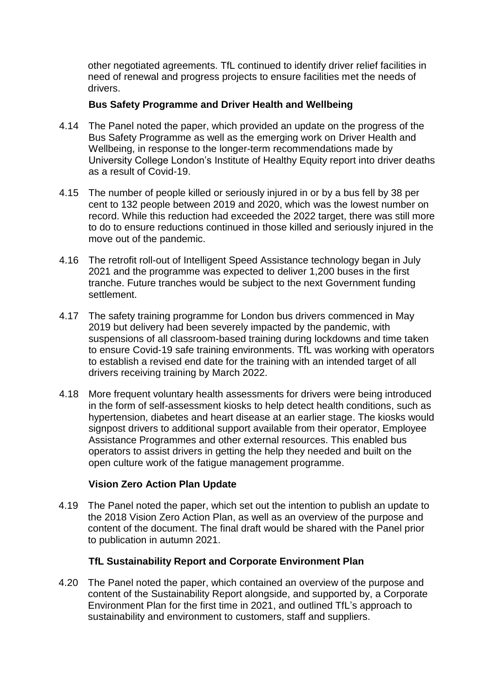other negotiated agreements. TfL continued to identify driver relief facilities in need of renewal and progress projects to ensure facilities met the needs of drivers.

## **Bus Safety Programme and Driver Health and Wellbeing**

- 4.14 The Panel noted the paper, which provided an update on the progress of the Bus Safety Programme as well as the emerging work on Driver Health and Wellbeing, in response to the longer-term recommendations made by University College London's Institute of Healthy Equity report into driver deaths as a result of Covid-19.
- 4.15 The number of people killed or seriously injured in or by a bus fell by 38 per cent to 132 people between 2019 and 2020, which was the lowest number on record. While this reduction had exceeded the 2022 target, there was still more to do to ensure reductions continued in those killed and seriously injured in the move out of the pandemic.
- 4.16 The retrofit roll-out of Intelligent Speed Assistance technology began in July 2021 and the programme was expected to deliver 1,200 buses in the first tranche. Future tranches would be subject to the next Government funding settlement.
- 4.17 The safety training programme for London bus drivers commenced in May 2019 but delivery had been severely impacted by the pandemic, with suspensions of all classroom-based training during lockdowns and time taken to ensure Covid-19 safe training environments. TfL was working with operators to establish a revised end date for the training with an intended target of all drivers receiving training by March 2022.
- 4.18 More frequent voluntary health assessments for drivers were being introduced in the form of self-assessment kiosks to help detect health conditions, such as hypertension, diabetes and heart disease at an earlier stage. The kiosks would signpost drivers to additional support available from their operator, Employee Assistance Programmes and other external resources. This enabled bus operators to assist drivers in getting the help they needed and built on the open culture work of the fatigue management programme.

## **Vision Zero Action Plan Update**

4.19 The Panel noted the paper, which set out the intention to publish an update to the 2018 Vision Zero Action Plan, as well as an overview of the purpose and content of the document. The final draft would be shared with the Panel prior to publication in autumn 2021.

## **TfL Sustainability Report and Corporate Environment Plan**

4.20 The Panel noted the paper, which contained an overview of the purpose and content of the Sustainability Report alongside, and supported by, a Corporate Environment Plan for the first time in 2021, and outlined TfL's approach to sustainability and environment to customers, staff and suppliers.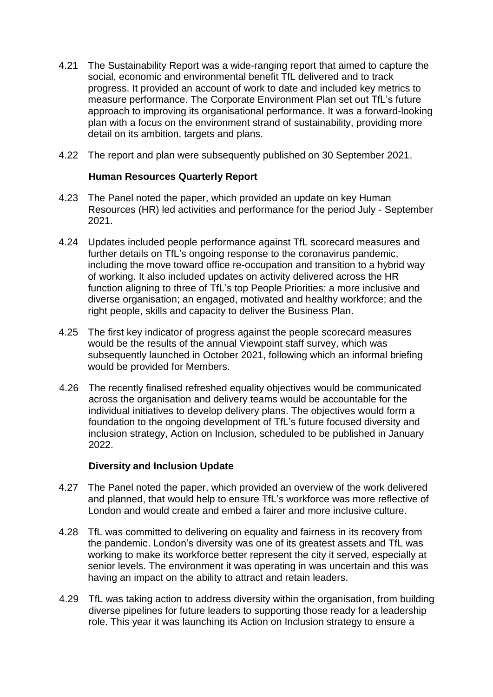- 4.21 The Sustainability Report was a wide-ranging report that aimed to capture the social, economic and environmental benefit TfL delivered and to track progress. It provided an account of work to date and included key metrics to measure performance. The Corporate Environment Plan set out TfL's future approach to improving its organisational performance. It was a forward-looking plan with a focus on the environment strand of sustainability, providing more detail on its ambition, targets and plans.
- 4.22 The report and plan were subsequently published on 30 September 2021.

## **Human Resources Quarterly Report**

- 4.23 The Panel noted the paper, which provided an update on key Human Resources (HR) led activities and performance for the period July - September 2021.
- 4.24 Updates included people performance against TfL scorecard measures and further details on TfL's ongoing response to the coronavirus pandemic, including the move toward office re-occupation and transition to a hybrid way of working. It also included updates on activity delivered across the HR function aligning to three of TfL's top People Priorities: a more inclusive and diverse organisation; an engaged, motivated and healthy workforce; and the right people, skills and capacity to deliver the Business Plan.
- 4.25 The first key indicator of progress against the people scorecard measures would be the results of the annual Viewpoint staff survey, which was subsequently launched in October 2021, following which an informal briefing would be provided for Members.
- 4.26 The recently finalised refreshed equality objectives would be communicated across the organisation and delivery teams would be accountable for the individual initiatives to develop delivery plans. The objectives would form a foundation to the ongoing development of TfL's future focused diversity and inclusion strategy, Action on Inclusion, scheduled to be published in January 2022.

## **Diversity and Inclusion Update**

- 4.27 The Panel noted the paper, which provided an overview of the work delivered and planned, that would help to ensure TfL's workforce was more reflective of London and would create and embed a fairer and more inclusive culture.
- 4.28 TfL was committed to delivering on equality and fairness in its recovery from the pandemic. London's diversity was one of its greatest assets and TfL was working to make its workforce better represent the city it served, especially at senior levels. The environment it was operating in was uncertain and this was having an impact on the ability to attract and retain leaders.
- 4.29 TfL was taking action to address diversity within the organisation, from building diverse pipelines for future leaders to supporting those ready for a leadership role. This year it was launching its Action on Inclusion strategy to ensure a